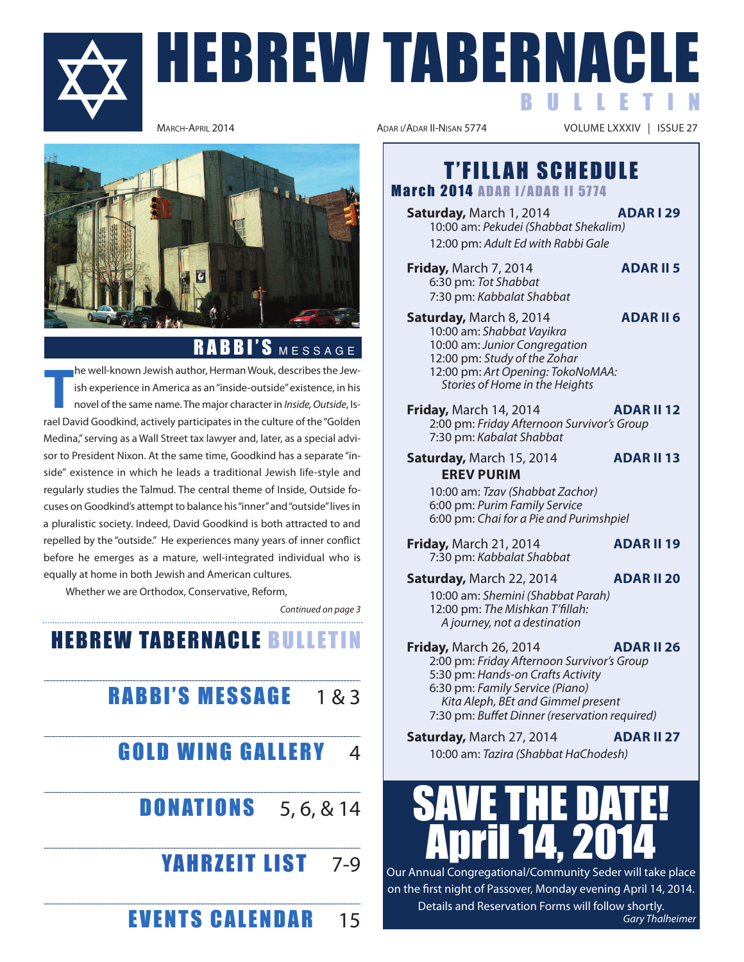

# HEBREW TABERNACL B U L L E T I N



# RABBI'S MESSAGE

**T** he well-known Jewish author, Herman Wouk, describes the Jewish experience in America as an "inside-outside" existence, in his novel of the same name. The major character in Inside, Outside, israel David Goodkind, actively participates in the culture of the "Golden Medina," serving as a Wall Street tax lawyer and, later, as a special advisor to President Nixon. At the same time, Goodkind has a separate "inside" existence in which he leads a traditional Jewish life-style and regularly studies the Talmud. The central theme of inside, Outside focuses on Goodkind's attempt to balance his "inner" and "outside" lives in a pluralistic society. indeed, David Goodkind is both attracted to and repelled by the "outside." He experiences many years of inner conflict before he emerges as a mature, well-integrated individual who is equally at home in both Jewish and American cultures.

Whether we are Orthodox, Conservative, Reform,

Continued on page 3

**HEBREW TABERNACLE BULLETIN** 

# RABBI'S MESSAGE 1&3 **GOLD WING GALLERY** 4 **DONATIONS** 5, 6, & 14

# **YAHRZEIT LIST** 7-9

**EVENTS CALENDAR** 15

VOLUME LXXXIV | ISSUE 27

# **T'FILLAH SCHEDULE**

**March 2014 ADAR I/ADAR II 5774** 

**Saturday, March 1, 2014 <b>ADAR 129** 10:00 am: Pekudei (Shabbat Shekalim) 12:00 pm: Adult Ed with Rabbi Gale

**Friday, March 7, 2014 <b>ADAR II 5** 6:30 pm: Tot Shabbat 7:30 pm: Kabbalat Shabbat

- **Saturday, March 8, 2014 <b>ADAR II 6** 10:00 am: Shabbat Vayikra 10:00 am: Junior Congregation 12:00 pm: Study of the Zohar 12:00 pm: Art Opening: TokoNoMAA: Stories of Home in the Heights
- **Friday, March 14, 2014 <b>ADAR II 12** 2:00 pm: Friday Afternoon Survivor's Group 7:30 pm: Kabalat Shabbat
- **Saturday, March 15, 2014 <b>ADAR II 13 ErEV PUriM**

10:00 am: Tzav (Shabbat Zachor) 6:00 pm: Purim Family Service 6:00 pm: Chai for a Pie and Purimshpiel

**Friday, March 21, 2014 <b>ADAR II 19** 7:30 pm: Kabbalat Shabbat

**Saturday, March 22, 2014 <b>ADAR II 20** 10:00 am: Shemini (Shabbat Parah) 12:00 pm: The Mishkan T'fillah: A journey, not a destination

**Friday, March 26, 2014 <b>ADAR II 26** 2:00 pm: Friday Afternoon Survivor's Group 5:30 pm: Hands-on Crafts Activity 6:30 pm: Family Service (Piano) Kita Aleph, BEt and Gimmel present 7:30 pm: Buffet Dinner (reservation required)

**Saturday, March 27, 2014 <b>ADAR II 27** 10:00 am: Tazira (Shabbat HaChodesh)

# SAVE THE DATE! April 14, 2014

Our Annual Congregational/Community Seder will take place on the first night of Passover, Monday evening April 14, 2014. Details and Reservation Forms will follow shortly.

Gary Thalheimer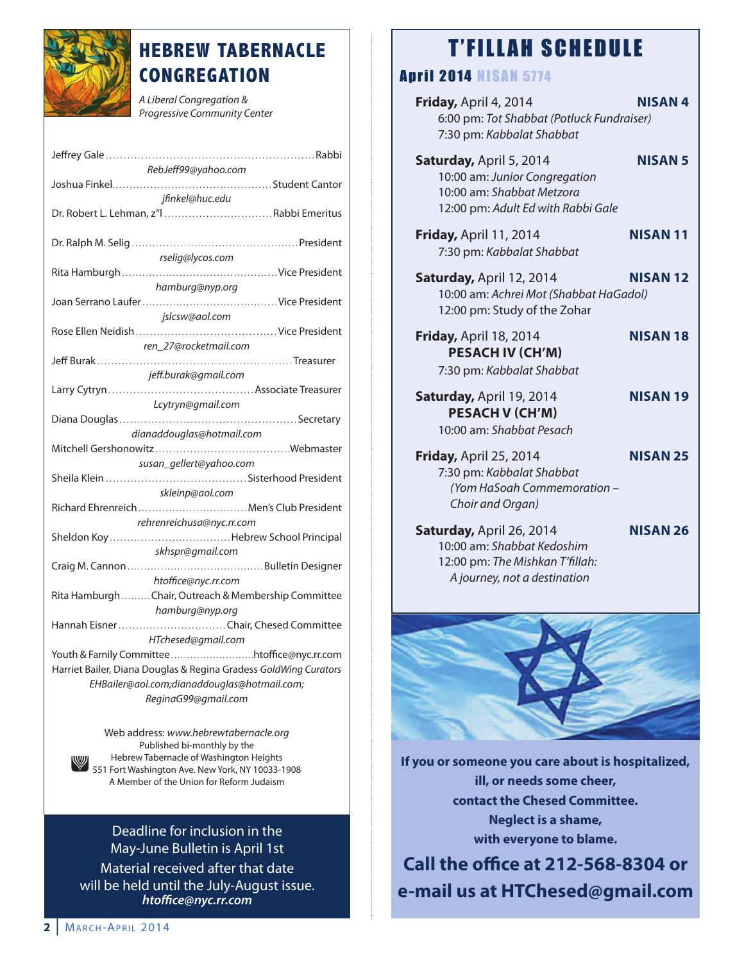

# **HEBREW TABERNACLE CONGREGATION**

A Liberal Congregation & Progressive Community Center

Web address: www.hebrewtabernacle.org Published bi-monthly by the<br>Hebrew Tabernacle of Washington Heights hebrew Tabernacle of Washington heights 551 Fort Washington Ave. New York, NY 10033-1908 A Member of the Union for Reform Judaism

Deadline for inclusion in the May-June Bulletin is April 1st Material received after that date will be held until the July-August issue. *htoffice@nyc.rr.com*

# **T'FILLAH SCHEDULE**

## A P R 1 2 0 1 4 N 1 8 A N 5774

| ZUI4 NIJAN J <i>ii</i> 4                                                                                                    |                 |
|-----------------------------------------------------------------------------------------------------------------------------|-----------------|
| Friday, April 4, 2014<br>6:00 pm: Tot Shabbat (Potluck Fundraiser)<br>7:30 pm: Kabbalat Shabbat                             | <b>NISAN4</b>   |
| Saturday, April 5, 2014<br>10:00 am: Junior Congregation<br>10:00 am: Shabbat Metzora<br>12:00 pm: Adult Ed with Rabbi Gale | <b>NISAN 5</b>  |
| Friday, April 11, 2014<br>7:30 pm: Kabbalat Shabbat                                                                         | <b>NISAN11</b>  |
| <b>Saturday, April 12, 2014</b><br>10:00 am: Achrei Mot (Shabbat HaGadol)<br>12:00 pm: Study of the Zohar                   | <b>NISAN 12</b> |
| <b>Friday, April 18, 2014</b><br><b>PESACH IV (CH'M)</b><br>7:30 pm: Kabbalat Shabbat                                       | <b>NISAN 18</b> |
| Saturday, April 19, 2014<br><b>PESACH V (CH'M)</b><br>10:00 am: Shabbat Pesach                                              | <b>NISAN 19</b> |
| <b>Friday, April 25, 2014</b><br>7:30 pm: Kabbalat Shabbat<br>(Yom HaSoah Commemoration -<br>Choir and Organ)               | <b>NISAN 25</b> |
| Saturday, April 26, 2014<br>10:00 am: Shabbat Kedoshim<br>12:00 pm: The Mishkan T'fillah:<br>A journey, not a destination   | <b>NISAN 26</b> |
|                                                                                                                             |                 |
|                                                                                                                             |                 |
|                                                                                                                             |                 |

**if you or someone you care about is hospitalized, ill, or needs some cheer, contact the Chesed Committee. Neglect is a shame, with everyone to blame.**

**Call the office at 212-568-8304 or e-mail us at HTChesed@gmail.com**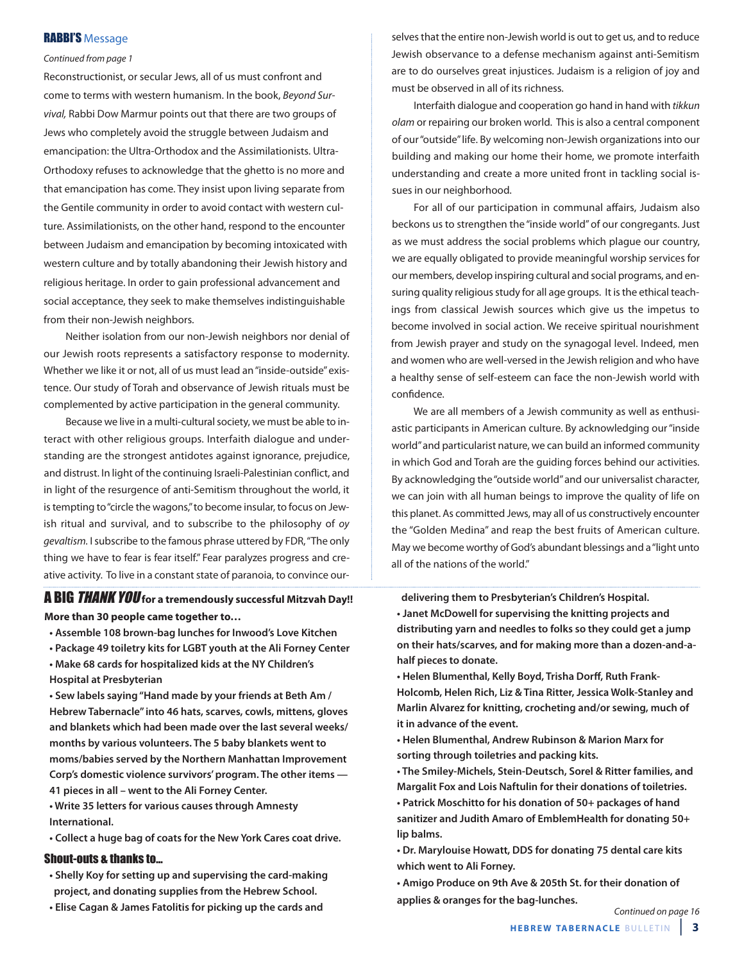#### RABBI'S Message

#### Continued from page 1

Reconstructionist, or secular Jews, all of us must confront and come to terms with western humanism. in the book, Beyond Survival, Rabbi Dow Marmur points out that there are two groups of Jews who completely avoid the struggle between Judaism and emancipation: the Ultra-Orthodox and the Assimilationists. Ultra-Orthodoxy refuses to acknowledge that the ghetto is no more and that emancipation has come. They insist upon living separate from the Gentile community in order to avoid contact with western culture. Assimilationists, on the other hand, respond to the encounter between Judaism and emancipation by becoming intoxicated with western culture and by totally abandoning their Jewish history and religious heritage. in order to gain professional advancement and social acceptance, they seek to make themselves indistinguishable from their non-Jewish neighbors.

Neither isolation from our non-Jewish neighbors nor denial of our Jewish roots represents a satisfactory response to modernity. Whether we like it or not, all of us must lead an "inside-outside" existence. Our study of Torah and observance of Jewish rituals must be complemented by active participation in the general community.

Because we live in a multi-cultural society, we must be able to interact with other religious groups. interfaith dialogue and understanding are the strongest antidotes against ignorance, prejudice, and distrust. in light of the continuing israeli-Palestinian conflict, and in light of the resurgence of anti-Semitism throughout the world, it is tempting to "circle the wagons," to become insular, to focus on Jewish ritual and survival, and to subscribe to the philosophy of oy gevaltism. I subscribe to the famous phrase uttered by FDR, "The only thing we have to fear is fear itself." Fear paralyzes progress and creative activity. To live in a constant state of paranoia, to convince our-

#### A BIG THANK YOU **for a tremendously successful Mitzvah day!! More than 30 people came together to…**

**• Assemble 108 brown-bag lunches for Inwood's Love Kitchen** 

**• Package 49 toiletry kits for LGBT youth at the Ali Forney Center • Make 68 cards for hospitalized kids at the NY Children's**

**Hospital at Presbyterian**

**• Sew labels saying "Hand made by your friends at Beth Am / Hebrew Tabernacle" into 46 hats, scarves, cowls, mittens, gloves and blankets which had been made over the last several weeks/ months by various volunteers. The 5 baby blankets went to moms/babies served by the Northern Manhattan Improvement Corp's domestic violence survivors' program. The other items — 41 pieces in all – went to the Ali Forney Center.**

**• Write 35 letters for various causes through Amnesty International.**

**• Collect a huge bag of coats for the New York Cares coat drive.**

#### Shout-outs & thanks to...

- **Shelly Koy for setting up and supervising the card-making project, and donating supplies from the Hebrew School.**
- **Elise Cagan & James Fatolitis for picking up the cards and**

selves that the entire non-Jewish world is out to get us, and to reduce Jewish observance to a defense mechanism against anti-Semitism are to do ourselves great injustices. Judaism is a religion of joy and must be observed in all of its richness.

interfaith dialogue and cooperation go hand in hand with tikkun olam or repairing our broken world. This is also a central component of our "outside" life. By welcoming non-Jewish organizations into our building and making our home their home, we promote interfaith understanding and create a more united front in tackling social issues in our neighborhood.

For all of our participation in communal affairs, Judaism also beckons us to strengthen the "inside world" of our congregants. Just as we must address the social problems which plague our country, we are equally obligated to provide meaningful worship services for our members, develop inspiring cultural and social programs, and ensuring quality religious study for all age groups. It is the ethical teachings from classical Jewish sources which give us the impetus to become involved in social action. We receive spiritual nourishment from Jewish prayer and study on the synagogal level. indeed, men and women who are well-versed in the Jewish religion and who have a healthy sense of self-esteem can face the non-Jewish world with confidence.

We are all members of a Jewish community as well as enthusiastic participants in American culture. By acknowledging our "inside world" and particularist nature, we can build an informed community in which God and Torah are the guiding forces behind our activities. By acknowledging the "outside world" and our universalist character, we can join with all human beings to improve the quality of life on this planet. As committed Jews, may all of us constructively encounter the "Golden Medina" and reap the best fruits of American culture. May we become worthy of God's abundant blessings and a "light unto all of the nations of the world."

**delivering them to Presbyterian's Children's Hospital.**

**• Janet McDowell for supervising the knitting projects and distributing yarn and needles to folks so they could get a jump on their hats/scarves, and for making more than a dozen-and-ahalf pieces to donate.**

**• Helen Blumenthal, Kelly Boyd, Trisha Dorff, Ruth Frank-Holcomb, Helen Rich, Liz & Tina Ritter, Jessica Wolk-Stanley and Marlin Alvarez for knitting, crocheting and/or sewing, much of it in advance of the event.**

**• Helen Blumenthal, Andrew Rubinson & Marion Marx for sorting through toiletries and packing kits.**

**• The Smiley-Michels, Stein-Deutsch, Sorel & Ritter families, and Margalit Fox and Lois Naftulin for their donations of toiletries. • Patrick Moschitto for his donation of 50+ packages of hand sanitizer and Judith Amaro of EmblemHealth for donating 50+ lip balms.**

**• Dr. Marylouise Howatt, DDS for donating 75 dental care kits which went to Ali Forney.**

**• Amigo Produce on 9th Ave & 205th St. for their donation of applies & oranges for the bag-lunches.**

Continued on page 16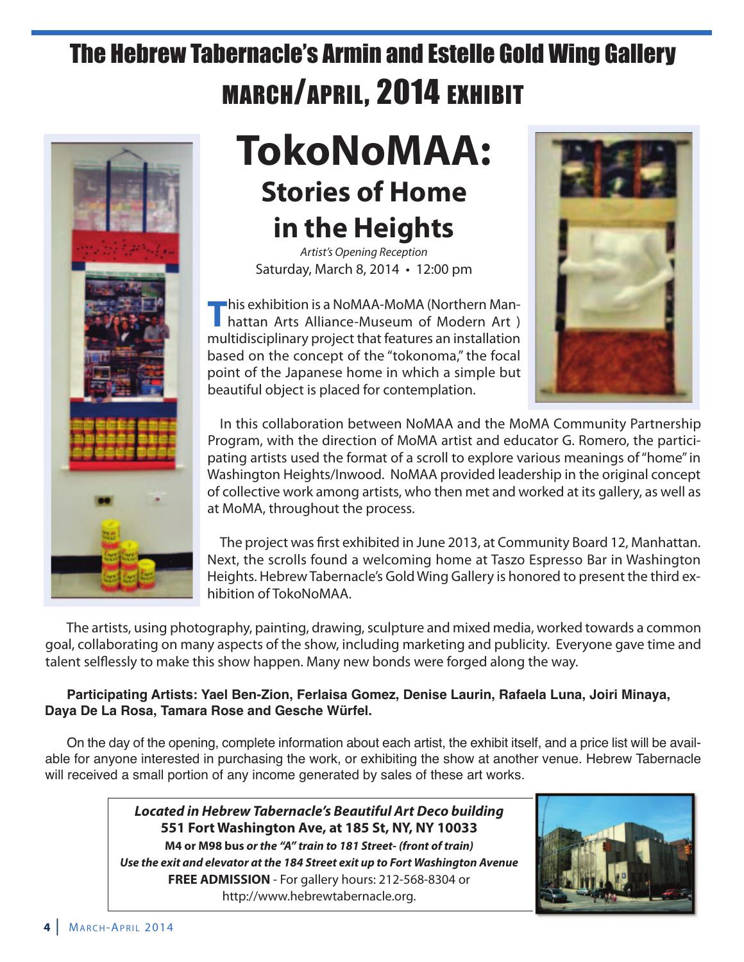# The Hebrew Tabernacle's Armin and Estelle Gold Wing Gallery MARCH/APRIL, 2014 EXHIBIT



# **TokoNoMaa: Stories of Home in the Heights**

Artist's Opening Reception Saturday, March 8, 2014 • 12:00 pm

**This exhibition is a NoMAA-MoMA (Northern Man-**<br> **hattan Arts Alliance-Museum of Modern Art**) multidisciplinary project that features an installation based on the concept of the "tokonoma," the focal point of the Japanese home in which a simple but beautiful object is placed for contemplation.



in this collaboration between NoMAA and the MoMA Community Partnership Program, with the direction of MoMA artist and educator G. Romero, the participating artists used the format of a scroll to explore various meanings of "home" in Washington Heights/Inwood. NoMAA provided leadership in the original concept of collective work among artists, who then met and worked at its gallery, as well as at MoMA, throughout the process.

The project was first exhibited in June 2013, at Community Board 12, Manhattan. Next, the scrolls found a welcoming home at Taszo espresso Bar in Washington heights. hebrew Tabernacle's Gold Wing Gallery is honored to present the third exhibition of TokoNoMAA.

The artists, using photography, painting, drawing, sculpture and mixed media, worked towards a common goal, collaborating on many aspects of the show, including marketing and publicity. Everyone gave time and talent selflessly to make this show happen. Many new bonds were forged along the way.

## **Participating Artists: Yael Ben-Zion, Ferlaisa Gomez, Denise Laurin, Rafaela Luna, Joiri Minaya, Daya De La Rosa, Tamara Rose and Gesche Würfel.**

On the day of the opening, complete information about each artist, the exhibit itself, and a price list will be available for anyone interested in purchasing the work, or exhibiting the show at another venue. Hebrew Tabernacle will received a small portion of any income generated by sales of these art works.

> *Located in Hebrew Tabernacle's Beautiful Art Deco building* **551 Fort washington ave, at 185 St, NY, NY 10033 M4 or M98 bus** *or the "A" train to 181 Street- (front of train) Use the exit and elevator at the 184 Street exit up to Fort Washington Avenue* **FrEE adMiSSiON** - For gallery hours: 212-568-8304 or http://www.hebrewtabernacle.org.

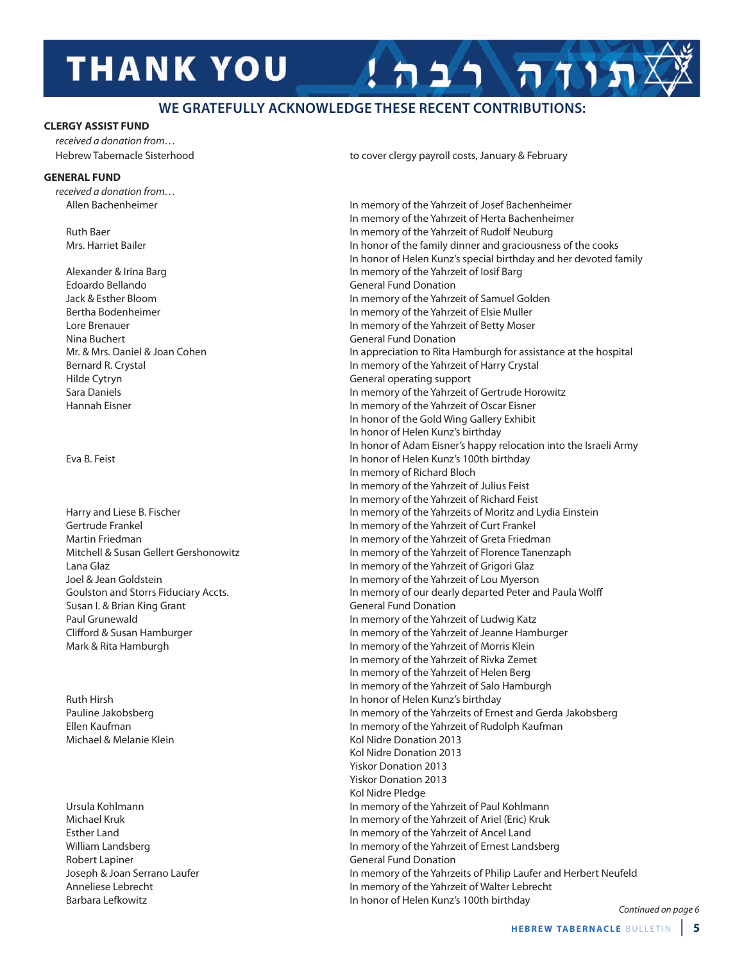# **THANK YOU**

#### **WE GRATEFuLLY ACKNoWLEDGE THESE RECENT CoNTRIBuTIoNS:**

#### **ClErGY aSSiST FUNd**

received a donation from…

#### **GENEral FUNd**

received a donation from…

edoardo Bellando General Fund Donation Nina Buchert General Fund Donation hilde Cytryn General operating support

Susan I. & Brian King Grant Grant General Fund Donation

Robert Lapiner General Fund Donation

hebrew Tabernacle Sisterhood to cover clergy payroll costs, January & February

תודה רבה

Allen Bachenheimer in memory of the Yahrzeit of Josef Bachenheimer in memory of the Yahrzeit of herta Bachenheimer Ruth Baer in memory of the Yahrzeit of Rudolf Neuburg Mrs. Harriet Bailer in honor of the family dinner and graciousness of the cooks in honor of helen Kunz's special birthday and her devoted family Alexander & Irina Barg in memory of the Yahrzeit of losif Barg in memory of the Yahrzeit of losif Barg Jack & esther Bloom in memory of the Yahrzeit of Samuel Golden Bertha Bodenheimer **in the Vahrage in memory of the Yahrzeit of Elsie Muller** lore Brenauer in memory of the Yahrzeit of Betty Moser Mr. & Mrs. Daniel & Joan Cohen in appreciation to Rita Hamburgh for assistance at the hospital Bernard R. Crystal in memory of the Yahrzeit of harry Crystal Sara Daniels in memory of the Yahrzeit of Gertrude horowitz hannah eisner in memory of the Yahrzeit of Oscar eisner In honor of the Gold Wing Gallery Exhibit in honor of helen Kunz's birthday In honor of Adam Eisner's happy relocation into the Israeli Army eva B. Feist in honor of helen Kunz's 100th birthday in memory of Richard Bloch in memory of the Yahrzeit of Julius Feist in memory of the Yahrzeit of Richard Feist harry and liese B. Fischer in memory of the Yahrzeits of Moritz and lydia einstein Gertrude Frankel in memory of the Yahrzeit of Curt Frankel Martin Friedman in memory of the Yahrzeit of Greta Friedman Mitchell & Susan Gellert Gershonowitz in memory of the Yahrzeit of Florence Tanenzaph Lana Glaz **in memory of the Yahrzeit of Grigori Glaz in memory of the Yahrzeit of Grigori Glaz** Joel & Jean Goldstein in memory of the Yahrzeit of lou Myerson Goulston and Storrs Fiduciary Accts. in memory of our dearly departed Peter and Paula Wolff Paul Grunewald in memory of the Yahrzeit of ludwig Katz Clifford & Susan hamburger in memory of the Yahrzeit of Jeanne hamburger Mark & Rita Hamburgh in memory of the Yahrzeit of Morris Klein in memory of the Yahrzeit of Rivka Zemet in memory of the Yahrzeit of helen Berg in memory of the Yahrzeit of Salo hamburgh Ruth hirsh in honor of helen Kunz's birthday Pauline Jakobsberg in memory of the Yahrzeits of Ernest and Gerda Jakobsberg ellen Kaufman in memory of the Yahrzeit of Rudolph Kaufman Michael & Melanie Klein Kollein Kol Nidre Donation 2013 Kol Nidre Donation 2013 Yiskor Donation 2013 Yiskor Donation 2013 Kol Nidre Pledge ursula Kohlmann in memory of the Yahrzeit of Paul Kohlmann Michael Kruk in memory of the Yahrzeit of Ariel (eric) Kruk Esther Land in memory of the Yahrzeit of Ancel Land William Landsberg in memory of the Yahrzeit of Ernest Landsberg Joseph & Joan Serrano laufer in memory of the Yahrzeits of Philip laufer and herbert Neufeld Anneliese Lebrecht in memory of the Yahrzeit of Walter Lebrecht Barbara Lefkowitz in honor of Helen Kunz's 100th birthday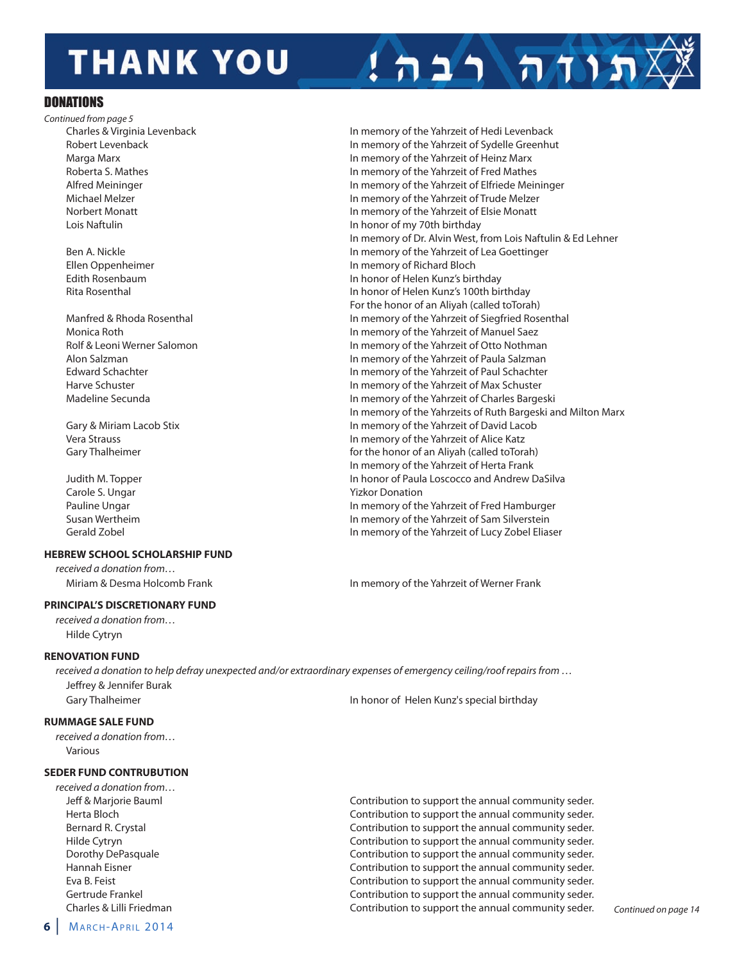# **THANK YOU**

#### **DONATIONS**

Continued from page 5 Charles & Virginia levenback in memory of the Yahrzeit of hedi levenback lois Naftulin in honor of my 70th birthday

Carole S. Ungar Yizkor Donation Gerald Zobel in memory of the Yahrzeit of lucy Zobel eliaser

#### **HEbrEw SCHOOl SCHOlarSHiP FUNd**

received a donation from…

#### **PriNCiPal'S diSCrETiONarY FUNd**

received a donation from… hilde Cytryn

#### **rENOVaTiON FUNd**

received a donation to help defray unexpected and/or extraordinary expenses of emergency ceiling/roof repairs from … Jeffrey & Jennifer Burak Gary Thalheimer **in honor of helen Kunz's special birthday** In honor of Helen Kunz's special birthday

#### **rUMMaGE SalE FUNd**

received a donation from… Various

#### **SEDER FUND CONTRUBUTION**

received a donation from…

Robert levenback in memory of the Yahrzeit of Sydelle Greenhut Marga Marx in memory of the Yahrzeit of heinz Marx Roberta S. Mathes in memory of the Yahrzeit of Fred Mathes Alfred Meininger in memory of the Yahrzeit of Elfriede Meininger in memory of the Yahrzeit of Elfriede Meininger Michael Melzer in memory of the Yahrzeit of Trude Melzer Norbert Monatt in memory of the Yahrzeit of elsie Monatt In memory of Dr. Alvin West, from Lois Naftulin & Ed Lehner Ben A. Nickle in memory of the Yahrzeit of Lea Goettinger ellen Oppenheimer in memory of Richard Bloch edith Rosenbaum in honor of helen Kunz's birthday Rita Rosenthal in honor of helen Kunz's 100th birthday For the honor of an Aliyah (called toTorah) Manfred & Rhoda Rosenthal in memory of the Yahrzeit of Siegfried Rosenthal in memory of the Yahrzeit of Siegfried Rosenthal Monica Roth in memory of the Yahrzeit of Manuel Saez Rolf & Leoni Werner Salomon in memory of the Yahrzeit of Otto Nothman Alon Salzman in memory of the Yahrzeit of Paula Salzman edward Schachter in memory of the Yahrzeit of Paul Schachter harve Schuster in memory of the Yahrzeit of Max Schuster Madeline Secunda in memory of the Yahrzeit of Charles Bargeski in memory of the Yahrzeits of Ruth Bargeski and Milton Marx Gary & Miriam Lacob Stix in memory of the Yahrzeit of David Lacob Vera Strauss in memory of the Yahrzeit of Alice Katz Gary Thalheimer **for the honor of an Aliyah (called toTorah)** for the honor of an Aliyah (called toTorah) in memory of the Yahrzeit of herta Frank Judith M. Topper **in the state of the Contract of Paula Loscocco and Andrew DaSilva** In honor of Paula Loscocco and Andrew DaSilva Pauline Ungar in memory of the Yahrzeit of Fred Hamburger Susan Wertheim in memory of the Yahrzeit of Sam Silverstein

תוח רבה

Miriam & Desma Holcomb Frank in memory of the Yahrzeit of Werner Frank

Jeff & Marjorie Bauml Contribution to support the annual community seder. herta Bloch Contribution to support the annual community seder. Bernard R. Crystal Contribution to support the annual community seder. hilde Cytryn Contribution to support the annual community seder. Dorothy DePasquale Contribution to support the annual community seder. hannah eisner Contribution to support the annual community seder. Eva B. Feist **Contribution to support the annual community seder.** Contribution to support the annual community seder. Gertrude Frankel Contribution to support the annual community seder. Charles & Lilli Friedman Contribution to support the annual community seder. Continued on page 14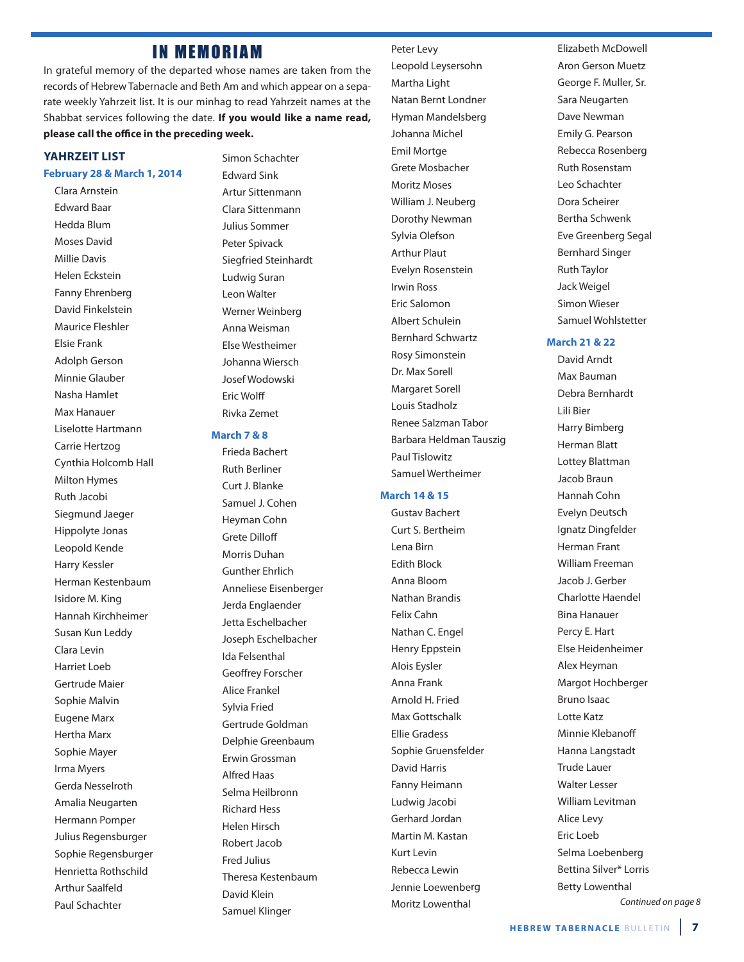## **IN MEMORIAM**

in grateful memory of the departed whose names are taken from the records of hebrew Tabernacle and Beth Am and which appear on a separate weekly Yahrzeit list. it is our minhag to read Yahrzeit names at the Shabbat services following the date. **if you would like a name read, please call the office in the preceding week.**

#### **YaHrzEiT liST**

#### **February 28 & March 1, 2014**

Clara Arnstein **Edward Baar** hedda Blum Moses David Millie Davis Helen Eckstein Fanny Ehrenberg David Finkelstein Maurice Fleshler elsie Frank Adolph Gerson Minnie Glauber Nasha Hamlet Max Hanauer liselotte hartmann Carrie hertzog Cynthia Holcomb Hall **Milton Hymes** Ruth Jacobi Siegmund Jaeger hippolyte Jonas leopold Kende harry Kessler herman Kestenbaum Isidore M. King hannah Kirchheimer Susan Kun leddy Clara levin harriet loeb Gertrude Maier Sophie Malvin **Eugene Marx** hertha Marx Sophie Mayer irma Myers Gerda Nesselroth Amalia Neugarten hermann Pomper Julius Regensburger Sophie Regensburger henrietta Rothschild Arthur Saalfeld Paul Schachter

Simon Schachter **Edward Sink** Artur Sittenmann Clara Sittenmann Julius Sommer Peter Spivack Siegfried Steinhardt ludwig Suran leon Walter Werner Weinberg Anna Weisman else Westheimer Johanna Wiersch Josef Wodowski **Fric Wolff** Rivka Zemet

#### **March 7 & 8**

Frieda Bachert Ruth Berliner Curt J. Blanke Samuel J. Cohen heyman Cohn Grete Dilloff Morris Duhan Gunther ehrlich Anneliese Eisenberger Jerda Englaender Jetta Eschelbacher Joseph Eschelbacher ida Felsenthal Geoffrey Forscher Alice Frankel Sylvia Fried Gertrude Goldman Delphie Greenbaum Erwin Grossman Alfred haas Selma Heilbronn Richard hess helen hirsch Robert Jacob Fred Julius Theresa Kestenbaum David Klein Samuel Klinger

#### Peter levy

leopold leysersohn Martha Light Natan Bernt londner hyman Mandelsberg Johanna Michel **Emil Mortge** Grete Mosbacher Moritz Moses William J. Neuberg Dorothy Newman Sylvia Olefson Arthur Plaut Evelyn Rosenstein irwin Ross Eric Salomon Albert Schulein Bernhard Schwartz Rosy Simonstein Dr. Max Sorell Margaret Sorell louis Stadholz Renee Salzman Tabor Barbara heldman Tauszig Paul Tislowitz Samuel Wertheimer

#### **March 14 & 15**

Gustav Bachert Curt S. Bertheim lena Birn **Edith Block** Anna Bloom Nathan Brandis Felix Cahn Nathan C. Engel Henry Eppstein **Alois Eysler** Anna Frank Arnold h. Fried Max Gottschalk ellie Gradess Sophie Gruensfelder David Harris Fanny Heimann ludwig Jacobi Gerhard Jordan Martin M. Kastan Kurt levin Rebecca lewin Jennie loewenberg Moritz lowenthal

elizabeth McDowell Aron Gerson Muetz George F. Muller, Sr. Sara Neugarten Dave Newman Emily G. Pearson Rebecca Rosenberg Ruth Rosenstam leo Schachter Dora Scheirer Bertha Schwenk Eve Greenberg Segal Bernhard Singer Ruth Taylor Jack Weigel Simon Wieser Samuel Wohlstetter

#### **March 21 & 22**

David Arndt Max Bauman Debra Bernhardt lili Bier harry Bimberg herman Blatt lottey Blattman Jacob Braun hannah Cohn Evelyn Deutsch ignatz Dingfelder herman Frant William Freeman Jacob J. Gerber Charlotte haendel **Bina Hanauer** Percy E. Hart Else Heidenheimer Alex Heyman Margot Hochberger Bruno Isaac lotte Katz Minnie Klebanoff hanna langstadt Trude lauer Walter lesser William levitman Alice levy Eric Loeb Selma loebenberg Bettina Silver\* lorris Betty lowenthal Continued on page 8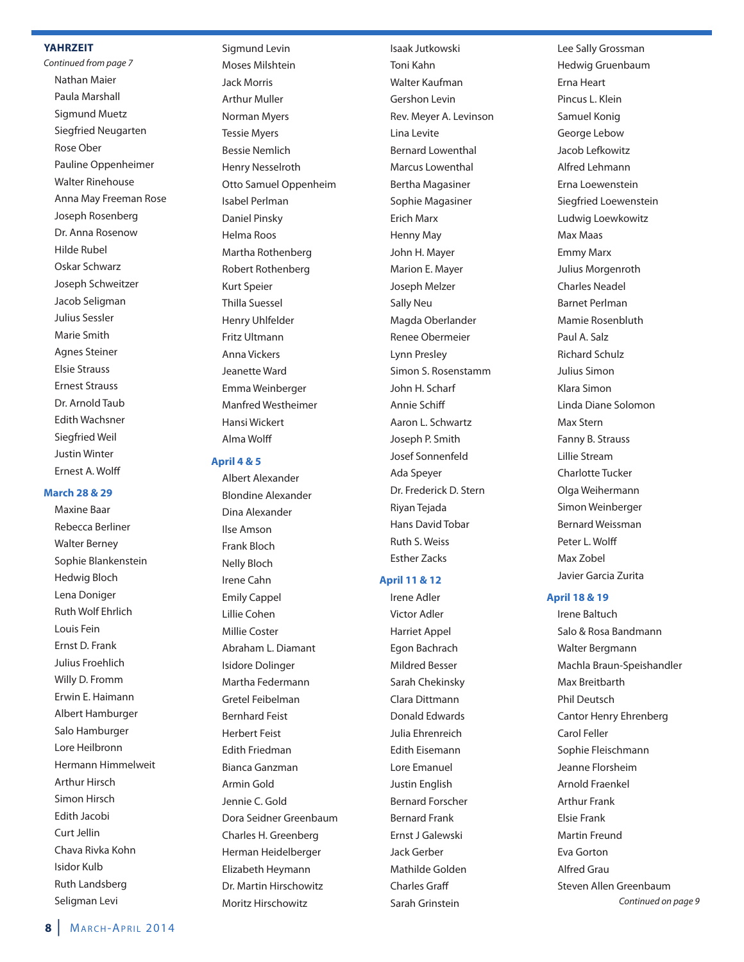#### **YaHrzEiT**

Continued from page 7 Nathan Maier Paula Marshall Sigmund Muetz Siegfried Neugarten Rose Ober Pauline Oppenheimer Walter Rinehouse Anna May Freeman Rose Joseph Rosenberg Dr. Anna Rosenow hilde Rubel Oskar Schwarz Joseph Schweitzer Jacob Seligman Julius Sessler Marie Smith Agnes Steiner elsie Strauss ernest Strauss Dr. Arnold Taub **Edith Wachsner** Siegfried Weil Justin Winter Ernest A. Wolff

#### **March 28 & 29**

Maxine Baar Rebecca Berliner Walter Berney Sophie Blankenstein hedwig Bloch lena Doniger Ruth Wolf ehrlich louis Fein **Frnst D. Frank** Julius Froehlich Willy D. Fromm Erwin E. Haimann Albert hamburger Salo Hamburger Lore Heilbronn Hermann Himmelweit Arthur Hirsch Simon Hirsch **Edith Jacobi** Curt Jellin Chava Rivka Kohn isidor Kulb Ruth landsberg Seligman levi

Sigmund levin Moses Milshtein Jack Morris Arthur Muller Norman Myers Tessie Myers Bessie Nemlich henry Nesselroth Otto Samuel Oppenheim isabel Perlman Daniel Pinsky helma Roos Martha Rothenberg Robert Rothenberg Kurt Speier Thilla Suessel henry uhlfelder Fritz Ultmann Anna Vickers Jeanette Ward Emma Weinberger Manfred Westheimer hansi Wickert Alma Wolff

#### **april 4 & 5**

Albert Alexander Blondine Alexander Dina Alexander ilse Amson Frank Bloch Nelly Bloch irene Cahn **Emily Cappel** lillie Cohen Millie Coster Abraham l. Diamant isidore Dolinger Martha Federmann Gretel Feibelman Bernhard Feist herbert Feist **Edith Friedman** Bianca Ganzman Armin Gold Jennie C. Gold Dora Seidner Greenbaum Charles H. Greenberg herman heidelberger Elizabeth Heymann Dr. Martin Hirschowitz Moritz Hirschowitz

isaak Jutkowski Toni Kahn Walter Kaufman Gershon levin Rev. Meyer A. levinson lina levite Bernard lowenthal Marcus lowenthal Bertha Magasiner Sophie Magasiner **Erich Marx** henny May John H. Mayer Marion E. Mayer Joseph Melzer Sally Neu Magda Oberlander Renee Obermeier lynn Presley Simon S. Rosenstamm John H. Scharf Annie Schiff Aaron L. Schwartz Joseph P. Smith Josef Sonnenfeld Ada Speyer Dr. Frederick D. Stern Riyan Tejada hans David Tobar Ruth S. Weiss **Esther Zacks** 

#### **april 11 & 12**

irene Adler Victor Adler harriet Appel Egon Bachrach Mildred Besser Sarah Chekinsky Clara Dittmann Donald Edwards Julia ehrenreich **Edith Eisemann** Lore Emanuel **Justin English** Bernard Forscher Bernard Frank ernst J Galewski Jack Gerber Mathilde Golden Charles Graff Sarah Grinstein

lee Sally Grossman hedwig Gruenbaum Erna Heart Pincus L. Klein Samuel Konig George lebow Jacob lefkowitz Alfred lehmann erna loewenstein Siegfried loewenstein ludwig loewkowitz Max Maas **Emmy Marx** Julius Morgenroth Charles Neadel Barnet Perlman Mamie Rosenbluth Paul A. Salz Richard Schulz Julius Simon Klara Simon linda Diane Solomon Max Stern Fanny B. Strauss lillie Stream Charlotte Tucker Olga Weihermann Simon Weinberger Bernard Weissman Peter l. Wolff Max Zobel Javier Garcia Zurita

#### **april 18 & 19**

irene Baltuch Salo & Rosa Bandmann Walter Bergmann Machla Braun-Speishandler Max Breitbarth Phil Deutsch Cantor henry ehrenberg Carol Feller Sophie Fleischmann Jeanne Florsheim Arnold Fraenkel Arthur Frank elsie Frank Martin Freund **Eva Gorton** Alfred Grau Steven Allen Greenbaum Continued on page 9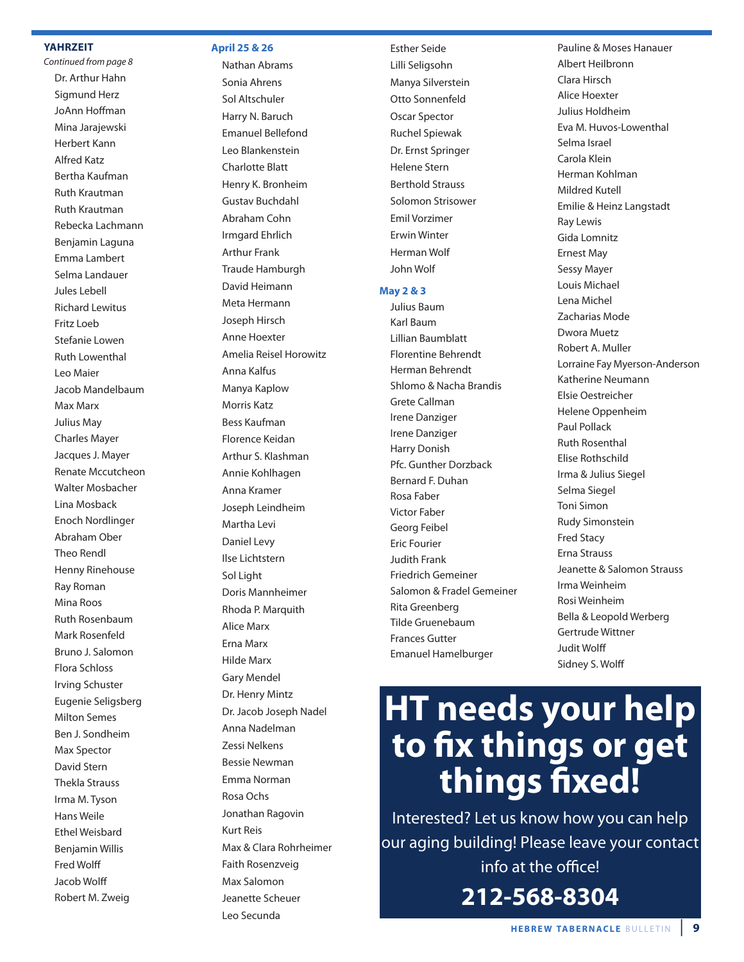#### **YaHrzEiT**

Continued from page 8 Dr. Arthur Hahn Sigmund herz JoAnn Hoffman Mina Jarajewski herbert Kann Alfred Katz Bertha Kaufman Ruth Krautman Ruth Krautman Rebecka lachmann Benjamin laguna Emma Lambert Selma landauer Jules lebell Richard lewitus Fritz loeb Stefanie lowen Ruth lowenthal leo Maier Jacob Mandelbaum Max Marx Julius May Charles Mayer Jacques J. Mayer Renate Mccutcheon Walter Mosbacher lina Mosback **Enoch Nordlinger** Abraham Ober Theo Rendl henny Rinehouse Ray Roman Mina Roos Ruth Rosenbaum Mark Rosenfeld Bruno J. Salomon Flora Schloss irving Schuster Eugenie Seligsberg Milton Semes Ben J. Sondheim Max Spector David Stern Thekla Strauss irma M. Tyson hans Weile **Ethel Weisbard** Benjamin Willis Fred Wolff Jacob Wolff Robert M. Zweig

#### **april 25 & 26**

Nathan Abrams Sonia Ahrens Sol Altschuler harry N. Baruch Emanuel Bellefond leo Blankenstein Charlotte Blatt henry K. Bronheim Gustav Buchdahl Abraham Cohn irmgard ehrlich Arthur Frank Traude Hamburgh David heimann Meta Hermann Joseph hirsch Anne hoexter Amelia Reisel horowitz Anna Kalfus Manya Kaplow Morris Katz Bess Kaufman Florence Keidan Arthur S. Klashman Annie Kohlhagen Anna Kramer Joseph leindheim Martha levi Daniel levy ilse lichtstern Sol Light Doris Mannheimer Rhoda P. Marquith Alice Marx Erna Marx hilde Marx Gary Mendel Dr. Henry Mintz Dr. Jacob Joseph Nadel Anna Nadelman Zessi Nelkens Bessie Newman Emma Norman Rosa Ochs Jonathan Ragovin Kurt Reis Max & Clara Rohrheimer Faith Rosenzveig Max Salomon Jeanette Scheuer leo Secunda

**Esther Seide** lilli Seligsohn Manya Silverstein Otto Sonnenfeld Oscar Spector Ruchel Spiewak Dr. Ernst Springer helene Stern Berthold Strauss Solomon Strisower **Emil Vorzimer Erwin Winter** herman Wolf John Wolf

#### **May 2 & 3**

Julius Baum Karl Baum lillian Baumblatt Florentine Behrendt herman Behrendt Shlomo & Nacha Brandis Grete Callman irene Danziger irene Danziger harry Donish Pfc. Gunther Dorzback Bernard F. Duhan Rosa Faber Victor Faber Georg Feibel **Eric Fourier** Judith Frank Friedrich Gemeiner Salomon & Fradel Gemeiner Rita Greenberg Tilde Gruenebaum Frances Gutter emanuel hamelburger

Pauline & Moses hanauer Albert heilbronn Clara Hirsch Alice hoexter Julius holdheim Eva M. Huvos-Lowenthal Selma israel Carola Klein herman Kohlman Mildred Kutell emilie & heinz langstadt Ray lewis Gida lomnitz **Ernest May** Sessy Mayer louis Michael lena Michel Zacharias Mode Dwora Muetz Robert A. Muller lorraine Fay Myerson-Anderson Katherine Neumann Elsie Oestreicher helene Oppenheim Paul Pollack Ruth Rosenthal Elise Rothschild irma & Julius Siegel Selma Siegel Toni Simon Rudy Simonstein Fred Stacy erna Strauss Jeanette & Salomon Strauss irma Weinheim Rosi Weinheim Bella & leopold Werberg Gertrude Wittner Judit Wolff Sidney S. Wolff

# **HT needs your help to fix things or get things fixed!**

interested? let us know how you can help our aging building! Please leave your contact info at the office! **212-568-8304**

**HEBREW TABERNACLE BULLETIN**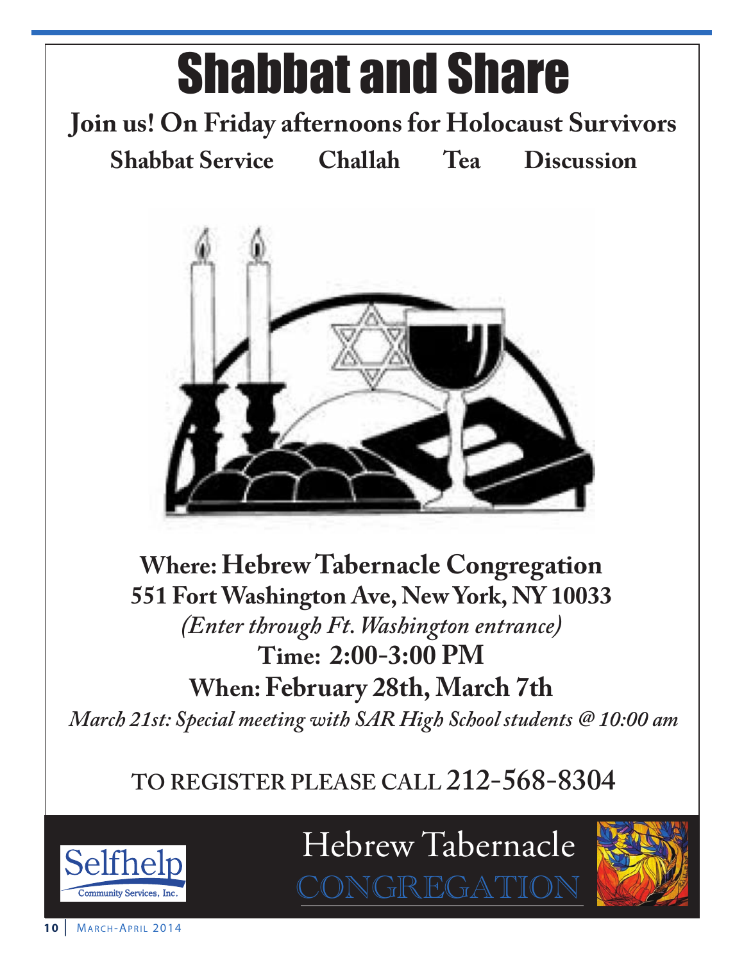

# **TO REGISTER PLEASE CALL 212-568-8304**



Hebrew Tabernacle

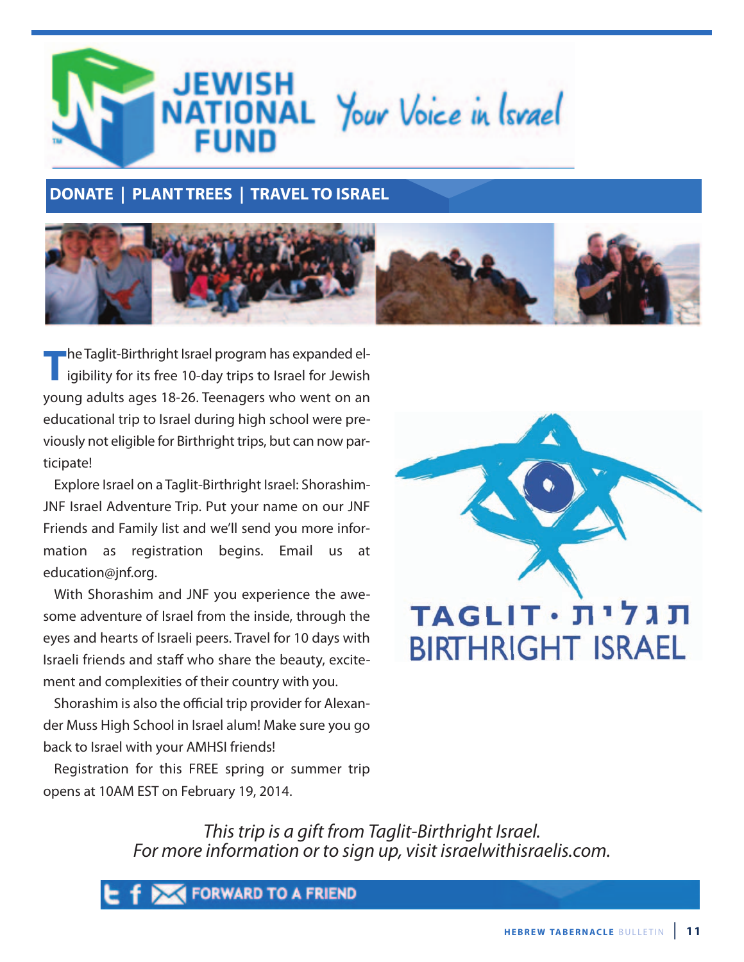

## **dONaTE | PlaNT TrEES | TraVEl TO iSraEl**



**The Taglit-Birthright Israel program has expanded elimination in the Taglit-Birthright Israel for Sepanded el-<br>igibility for its free 10-day trips to Israel for Jewish** young adults ages 18-26. Teenagers who went on an educational trip to israel during high school were previously not eligible for Birthright trips, but can now participate!

explore israel on a Taglit-Birthright israel: Shorashim-JNF israel Adventure Trip. Put your name on our JNF Friends and Family list and we'll send you more information as registration begins. Email us at education@jnf.org.

With Shorashim and JNF you experience the awesome adventure of israel from the inside, through the eyes and hearts of israeli peers. Travel for 10 days with israeli friends and staff who share the beauty, excitement and complexities of their country with you.

Shorashim is also the official trip provider for Alexander Muss high School in israel alum! Make sure you go back to israel with your AMhSi friends!

Registration for this FRee spring or summer trip opens at 10AM eST on February 19, 2014.



This trip is a gift from Taglit-Birthright Israel. For more information or to sign up, visit israelwithisraelis.com.

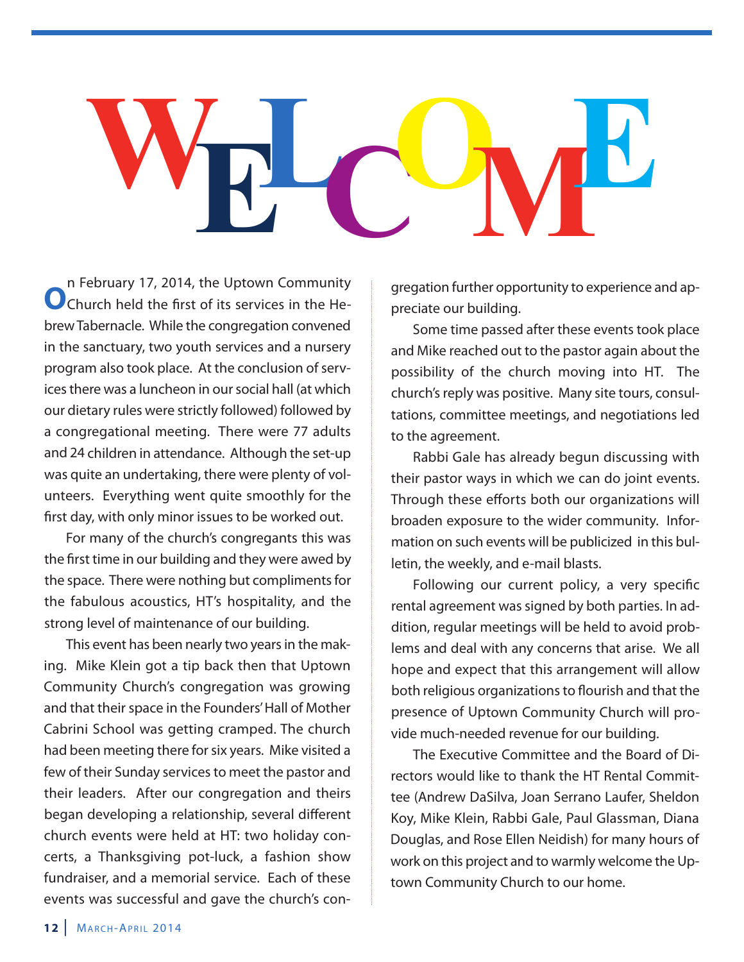# **WELCOME**

**O**n February 17, 2014, the Uptown Community<br>
Church held the first of its services in the Hebrew Tabernacle. While the congregation convened in the sanctuary, two youth services and a nursery program also took place. At the conclusion of services there was a luncheon in our social hall (at which our dietary rules were strictly followed) followed by a congregational meeting. There were 77 adults and 24 children in attendance. Although the set-up was quite an undertaking, there were plenty of volunteers. Everything went quite smoothly for the first day, with only minor issues to be worked out.

For many of the church's congregants this was the first time in our building and they were awed by the space. There were nothing but compliments for the fabulous acoustics, hT's hospitality, and the strong level of maintenance of our building.

This event has been nearly two years in the making. Mike Klein got a tip back then that Uptown Community Church's congregation was growing and that their space in the Founders' hall of Mother Cabrini School was getting cramped. The church had been meeting there for six years. Mike visited a few of their Sunday services to meet the pastor and their leaders. After our congregation and theirs began developing a relationship, several different church events were held at HT: two holiday concerts, a Thanksgiving pot-luck, a fashion show fundraiser, and a memorial service. Each of these events was successful and gave the church's congregation further opportunity to experience and appreciate our building.

Some time passed after these events took place and Mike reached out to the pastor again about the possibility of the church moving into HT. The church's reply was positive. Many site tours, consultations, committee meetings, and negotiations led to the agreement.

Rabbi Gale has already begun discussing with their pastor ways in which we can do joint events. Through these efforts both our organizations will broaden exposure to the wider community. information on such events will be publicized in this bulletin, the weekly, and e-mail blasts.

Following our current policy, a very specific rental agreement was signed by both parties. in addition, regular meetings will be held to avoid problems and deal with any concerns that arise. We all hope and expect that this arrangement will allow both religious organizations to flourish and that the presence of Uptown Community Church will provide much-needed revenue for our building.

The Executive Committee and the Board of Directors would like to thank the hT Rental Committee (Andrew DaSilva, Joan Serrano laufer, Sheldon Koy, Mike Klein, Rabbi Gale, Paul Glassman, Diana Douglas, and Rose Ellen Neidish) for many hours of work on this project and to warmly welcome the Uptown Community Church to our home.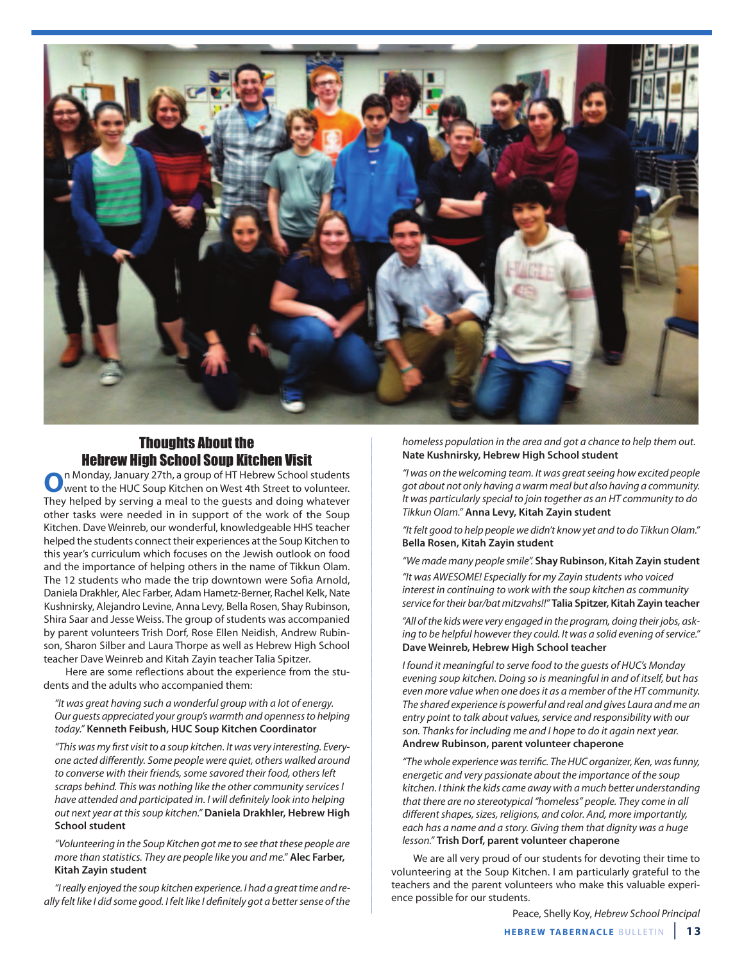

# Thoughts About the

**Hebrew High School Soup Kitchen Visit**<br>n Monday, January 27th, a group of HT Hebrew School students **O**n Monday, January 27th, a group of HT Hebrew School students<br>went to the HUC Soup Kitchen on West 4th Street to volunteer. They helped by serving a meal to the guests and doing whatever other tasks were needed in in support of the work of the Soup Kitchen. Dave Weinreb, our wonderful, knowledgeable hhS teacher helped the students connect their experiences at the Soup Kitchen to this year's curriculum which focuses on the Jewish outlook on food and the importance of helping others in the name of Tikkun Olam. The 12 students who made the trip downtown were Sofia Arnold, Daniela Drakhler, Alec Farber, Adam hametz-Berner, Rachel Kelk, Nate Kushnirsky, Alejandro levine, Anna levy, Bella Rosen, Shay Rubinson, Shira Saar and Jesse Weiss. The group of students was accompanied by parent volunteers Trish Dorf, Rose ellen Neidish, Andrew Rubinson, Sharon Silber and Laura Thorpe as well as Hebrew High School teacher Dave Weinreb and Kitah Zayin teacher Talia Spitzer.

here are some reflections about the experience from the students and the adults who accompanied them:

"It was great having such a wonderful group with a lot of energy. Our guests appreciated your group's warmth and openness to helping today." **Kenneth Feibush, HuC Soup Kitchen Coordinator**

"This was my first visit to a soup kitchen. It was very interesting. Everyone acted differently. Some people were quiet, others walked around to converse with their friends, some savored their food, others left scraps behind. This was nothing like the other community services I have attended and participated in. I will definitely look into helping out next year at this soup kitchen." **Daniela Drakhler, Hebrew High School student**

"Volunteering in the Soup Kitchen got me to see that these people are more than statistics. They are people like you and me." **Alec Farber, Kitah Zayin student**

"I really enjoyed the soup kitchen experience. I had a great time and really felt like I did some good. I felt like I definitely got a better sense of the homeless population in the area and got a chance to help them out. **Nate Kushnirsky, Hebrew High School student**

"I was on the welcoming team. It was great seeing how excited people got about not only having a warm meal but also having a community. It was particularly special to join together as an HT community to do Tikkun Olam." **Anna Levy, Kitah Zayin student**

"It felt good to help people we didn't know yet and to do Tikkun Olam." **Bella Rosen, Kitah Zayin student**

"We made many people smile". **Shay Rubinson, Kitah Zayin student** "It was AWESOME! Especially for my Zayin students who voiced interest in continuing to work with the soup kitchen as community service for their bar/bat mitzvahs!!" **Talia Spitzer, Kitah Zayin teacher**

"All of the kids were very engaged in the program, doing their jobs, asking to be helpful however they could. It was a solid evening of service." **Dave Weinreb, Hebrew High School teacher**

I found it meaningful to serve food to the guests of HUC's Monday evening soup kitchen. Doing so is meaningful in and of itself, but has even more value when one does it as a member of the HT community. The shared experience is powerful and real and gives Laura and me an entry point to talk about values, service and responsibility with our son. Thanks for including me and I hope to do it again next year. **Andrew Rubinson, parent volunteer chaperone**

"The whole experience was terrific. The HUC organizer, Ken, was funny, energetic and very passionate about the importance of the soup kitchen. I think the kids came away with a much better understanding that there are no stereotypical "homeless" people. They come in all different shapes, sizes, religions, and color. And, more importantly, each has a name and a story. Giving them that dignity was a huge lesson." **Trish Dorf, parent volunteer chaperone**

We are all very proud of our students for devoting their time to volunteering at the Soup Kitchen. i am particularly grateful to the teachers and the parent volunteers who make this valuable experience possible for our students.

Peace, Shelly Koy, Hebrew School Principal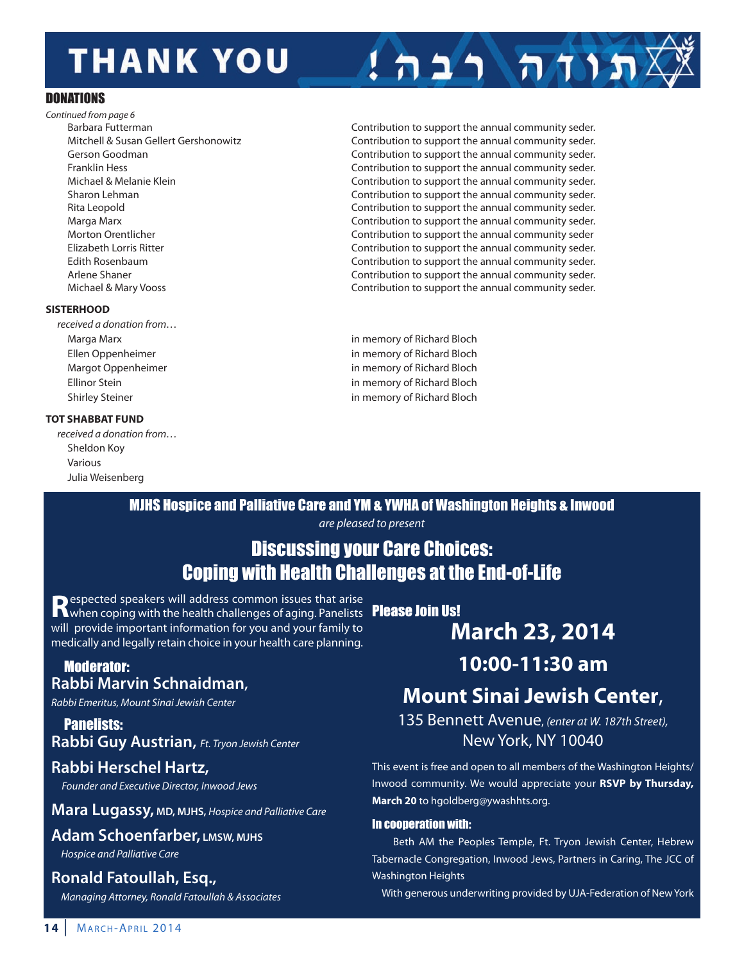# **THANK YOU**

#### DONATIONS

Continued from page 6

#### **SISTERHOOD**

received a donation from…

#### **TOT SHABBAT FUND**

received a donation from… Sheldon Koy Various Julia Weisenberg

Barbara Futterman Contribution to support the annual community seder. Mitchell & Susan Gellert Gershonowitz Contribution to support the annual community seder. Gerson Goodman **Guart Contribution to support the annual community seder.**<br>Contribution to support the annual community seder. Contribution to support the annual community seder. Michael & Melanie Klein Contribution to support the annual community seder. Sharon Lehman **Contribution to support the annual community seder.** Contribution to support the annual community seder. Rita leopold Contribution to support the annual community seder. Marga Marx Contribution to support the annual community seder. Morton Orentlicher **Contribution is a matter of the annual community seder** Contribution to support the annual community seder elizabeth lorris Ritter Contribution to support the annual community seder. Edith Rosenbaum **Contribution to support the annual community seder.** Contribution to support the annual community seder. Arlene Shaner **Contribution to support the annual community seder.** Contribution to support the annual community seder. Michael & Mary Vooss Contribution to support the annual community seder.

 $1$ הות רבה!

Marga Marx in memory of Richard Bloch ellen Oppenheimer in memory of Richard Bloch Margot Oppenheimer **in memory of Richard Bloch** in memory of Richard Bloch ellinor Stein in memory of Richard Bloch Shirley Steiner in memory of Richard Bloch

MJHS Hospice and Palliative Care and YM & YWHA of Washington Heights & Inwood

are pleased to present

## Discussing your Care Choices: Coping with Health Challenges at the End-of-Life

**Respected speakers will address common issues that arise**<br>When coping with the health challenges of aging. Panelists **Please Join Us!** will provide important information for you and your family to medically and legally retain choice in your health care planning.

#### Moderator: **Rabbi Marvin Schnaidman,**

Rabbi Emeritus, Mount Sinai Jewish Center

Panelists: **Rabbi Guy Austrian,** Ft. Tryon Jewish Center

## **Rabbi Herschel Hartz,**

Founder and Executive Director, Inwood Jews

**Mara Lugassy, MD, MJHS,** Hospice and Palliative Care

### **Adam Schoenfarber, LMSW, MJHS**

Hospice and Palliative Care

## **Ronald Fatoullah, Esq.,**

Managing Attorney, Ronald Fatoullah & Associates

**March 23, 2014**

## **10:00-11:30 am**

# **Mount Sinai Jewish Center**,

135 Bennett Avenue, (enter at W. 187th Street), New York, NY 10040

This event is free and open to all members of the Washington heights/ Inwood community. We would appreciate your RSVP by Thursday, **March 20** to hgoldberg@ywashhts.org.

#### In cooperation with:

Beth AM the Peoples Temple, Ft. Tryon Jewish Center, hebrew Tabernacle Congregation, inwood Jews, Partners in Caring, The JCC of Washington Heights

With generous underwriting provided by UJA-Federation of New York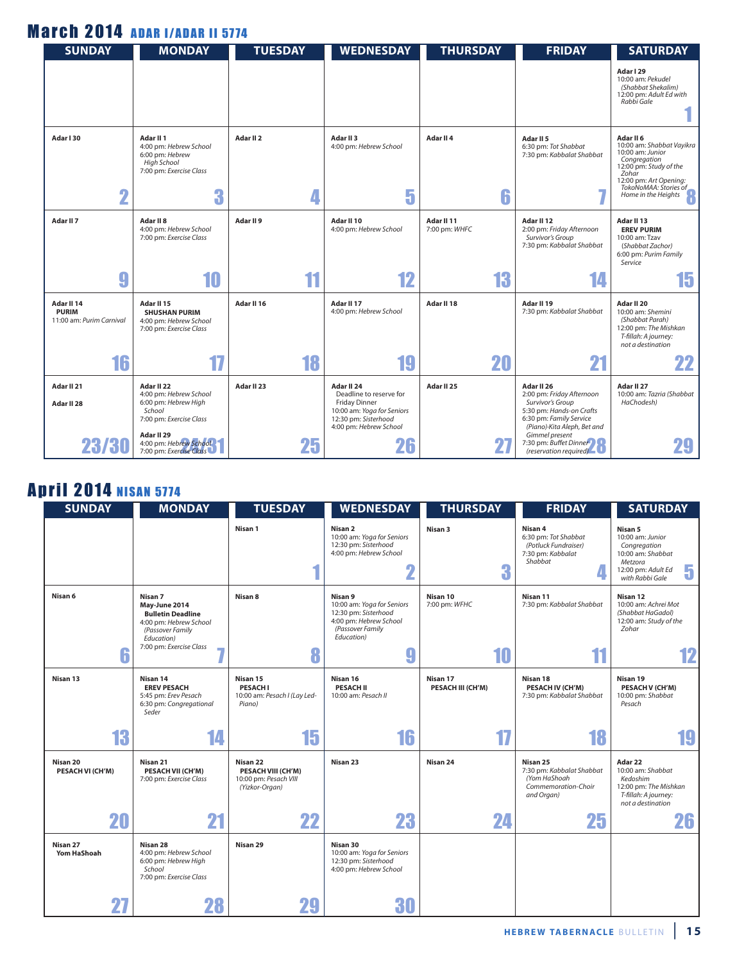# **March 2014 ADAR I/ADAR II 5774**

| <b>SUNDAY</b>                                          | <b>MONDAY</b>                                                                                                                                                        | <b>TUESDAY</b>            | <b>WEDNESDAY</b>                                                                                                                                    | <b>THURSDAY</b>             | <b>FRIDAY</b>                                                                                                                                                                                                              | <b>SATURDAY</b>                                                                                                                                                                         |
|--------------------------------------------------------|----------------------------------------------------------------------------------------------------------------------------------------------------------------------|---------------------------|-----------------------------------------------------------------------------------------------------------------------------------------------------|-----------------------------|----------------------------------------------------------------------------------------------------------------------------------------------------------------------------------------------------------------------------|-----------------------------------------------------------------------------------------------------------------------------------------------------------------------------------------|
|                                                        |                                                                                                                                                                      |                           |                                                                                                                                                     |                             |                                                                                                                                                                                                                            | Adar I 29<br>10:00 am: Pekudel<br>(Shabbat Shekalim)<br>12:00 pm: Adult Ed with<br>Rabbi Gale                                                                                           |
| Adar I 30<br>Ω                                         | Adar II 1<br>4:00 pm: Hebrew School<br>6:00 pm: Hebrew<br><b>High School</b><br>7:00 pm: Exercise Class<br>3                                                         | Adar II <sub>2</sub><br>4 | Adar II <sub>3</sub><br>4:00 pm: Hebrew School<br>5                                                                                                 | Adar II 4<br>6              | Adar II <sub>5</sub><br>6:30 pm: Tot Shabbat<br>7:30 pm: Kabbalat Shabbat                                                                                                                                                  | Adar II 6<br>10:00 am: Shabbat Vayikra<br>10:00 am: Junior<br>Congregation<br>12:00 pm: Study of the<br>Zohar<br>12:00 pm: Art Opening:<br>TokoNoMAA: Stories of<br>Home in the Heights |
| Adar II <sub>7</sub>                                   | Adar II <sub>8</sub><br>4:00 pm: Hebrew School<br>7:00 pm: Exercise Class                                                                                            | Adar II 9                 | Adar II 10<br>4:00 pm: Hebrew School                                                                                                                | Adar II 11<br>7:00 pm: WHFC | Adar II 12<br>2:00 pm: Friday Afternoon<br>Survivor's Group<br>7:30 pm: Kabbalat Shabbat                                                                                                                                   | Adar II 13<br><b>EREV PURIM</b><br>10:00 am: Tzav<br>(Shabbat Zachor)<br>6:00 pm: Purim Family<br>Service                                                                               |
| 9                                                      | 10                                                                                                                                                                   | 44                        | 12                                                                                                                                                  | 13                          | 14                                                                                                                                                                                                                         | 15                                                                                                                                                                                      |
| Adar II 14<br><b>PURIM</b><br>11:00 am: Purim Carnival | Adar II 15<br><b>SHUSHAN PURIM</b><br>4:00 pm: Hebrew School<br>7:00 pm: Exercise Class                                                                              | Adar II 16                | Adar II 17<br>4:00 pm: Hebrew School                                                                                                                | Adar II 18                  | Adar II 19<br>7:30 pm: Kabbalat Shabbat                                                                                                                                                                                    | Adar II 20<br>10:00 am: Shemini<br>(Shabbat Parah)<br>12:00 pm: The Mishkan<br>T-fillah: A journey:<br>not a destination                                                                |
| 16                                                     |                                                                                                                                                                      | 18                        | 19                                                                                                                                                  | 20                          | 21                                                                                                                                                                                                                         | 22                                                                                                                                                                                      |
| Adar II 21<br>Adar II 28<br>23/30                      | Adar II 22<br>4:00 pm: Hebrew School<br>6:00 pm: Hebrew High<br>School<br>7:00 pm: Exercise Class<br>Adar II 29<br>4:00 pm: Hebrew School<br>7:00 pm: Exercise Class | Adar II 23<br>25          | Adar II 24<br>Deadline to reserve for<br><b>Friday Dinner</b><br>10:00 am: Yoga for Seniors<br>12:30 pm: Sisterhood<br>4:00 pm: Hebrew School<br>Zb | Adar II 25                  | Adar II 26<br>2:00 pm: Friday Afternoon<br>Survivor's Group<br>5:30 pm: Hands-on Crafts<br>6:30 pm: Family Service<br>(Piano) Kita Aleph, Bet and<br>Gimmel present<br>7:30 pm: Buffet Dinner<br>$(reservation\ required)$ | Adar II 27<br>10:00 am: Tazria (Shabbat<br>HaChodesh)                                                                                                                                   |

## **April 2014 NISAN 5774**

| <b>SUNDAY</b>                | <b>MONDAY</b>                                                                                                                               | <b>TUESDAY</b>                                                            | <b>WEDNESDAY</b>                                                                                                          | <b>THURSDAY</b>               | <b>FRIDAY</b>                                                                              | <b>SATURDAY</b>                                                                                                           |
|------------------------------|---------------------------------------------------------------------------------------------------------------------------------------------|---------------------------------------------------------------------------|---------------------------------------------------------------------------------------------------------------------------|-------------------------------|--------------------------------------------------------------------------------------------|---------------------------------------------------------------------------------------------------------------------------|
|                              |                                                                                                                                             | Nisan 1                                                                   | Nisan 2<br>10:00 am: Yoga for Seniors<br>12:30 pm: Sisterhood<br>4:00 pm: Hebrew School<br>$\overline{\mathbf{2}}$        | Nisan 3<br>3                  | Nisan 4<br>6:30 pm: Tot Shabbat<br>(Potluck Fundraiser)<br>7:30 pm: Kabbalat<br>Shabbat    | Nisan 5<br>10:00 am: Junior<br>Congregation<br>10:00 am: Shabbat<br>Metzora<br>5<br>12:00 pm: Adult Ed<br>with Rabbi Gale |
| Nisan 6                      | Nisan 7<br>May-June 2014<br><b>Bulletin Deadline</b><br>4:00 pm: Hebrew School<br>(Passover Family<br>Education)<br>7:00 pm: Exercise Class | Nisan 8                                                                   | Nisan 9<br>10:00 am: Yoga for Seniors<br>12:30 pm: Sisterhood<br>4:00 pm: Hebrew School<br>(Passover Family<br>Education) | Nisan 10<br>7:00 pm: WFHC     | Nisan 11<br>7:30 pm: Kabbalat Shabbat<br>11                                                | Nisan 12<br>10:00 am: Achrei Mot<br>(Shabbat HaGadol)<br>12:00 am: Study of the<br>Zohar                                  |
| 6                            |                                                                                                                                             | 8                                                                         | 9                                                                                                                         | 10                            |                                                                                            | 12                                                                                                                        |
| Nisan 13                     | Nisan 14<br><b>EREV PESACH</b><br>5:45 pm: Erev Pesach<br>6:30 pm: Congregational<br>Seder                                                  | Nisan 15<br><b>PESACHI</b><br>10:00 am: Pesach I (Lay Led-<br>Piano)      | Nisan 16<br><b>PESACH II</b><br>10:00 am: Pesach II                                                                       | Nisan 17<br>PESACH III (CH'M) | Nisan 18<br>PESACH IV (CH'M)<br>7:30 pm: Kabbalat Shabbat                                  | Nisan 19<br>PESACH V (CH'M)<br>10:00 pm: Shabbat<br>Pesach                                                                |
| 13                           | 14                                                                                                                                          | 15                                                                        | 16                                                                                                                        | 17                            | 18                                                                                         | 19                                                                                                                        |
| Nisan 20<br>PESACH VI (CH'M) | Nisan 21<br>PESACH VII (CH'M)<br>7:00 pm: Exercise Class                                                                                    | Nisan 22<br>PESACH VIII (CH'M)<br>10:00 pm: Pesach VIII<br>(Yizkor-Organ) | Nisan 23                                                                                                                  | Nisan 24                      | Nisan 25<br>7:30 pm: Kabbalat Shabbat<br>(Yom HaShoah<br>Commemoration-Choir<br>and Organ) | Adar 22<br>10:00 am: Shabbat<br>Kedoshim<br>12:00 pm: The Mishkan<br>T-fillah: A journey:<br>not a destination            |
| 20                           | 21                                                                                                                                          | 22                                                                        | 23                                                                                                                        | 24                            | 25                                                                                         | 26                                                                                                                        |
| Nisan 27<br>Yom HaShoah      | Nisan 28<br>4:00 pm: Hebrew School<br>6:00 pm: Hebrew High<br>School<br>7:00 pm: Exercise Class                                             | Nisan 29                                                                  | Nisan 30<br>10:00 am: Yoga for Seniors<br>12:30 pm: Sisterhood<br>4:00 pm: Hebrew School                                  |                               |                                                                                            |                                                                                                                           |
| 27                           | 28                                                                                                                                          |                                                                           | 30                                                                                                                        |                               |                                                                                            |                                                                                                                           |